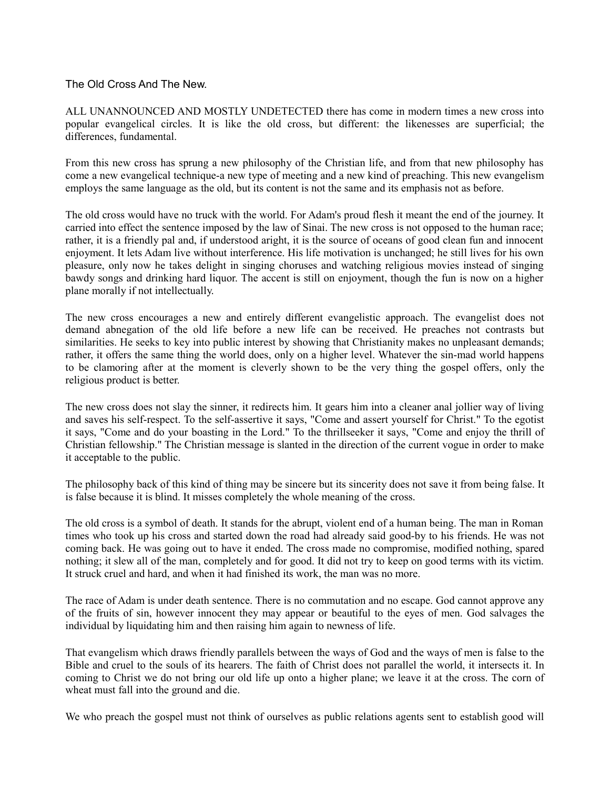## The Old Cross And The New.

ALL UNANNOUNCED AND MOSTLY UNDETECTED there has come in modern times a new cross into popular evangelical circles. It is like the old cross, but different: the likenesses are superficial; the differences, fundamental.

From this new cross has sprung a new philosophy of the Christian life, and from that new philosophy has come a new evangelical technique-a new type of meeting and a new kind of preaching. This new evangelism employs the same language as the old, but its content is not the same and its emphasis not as before.

The old cross would have no truck with the world. For Adam's proud flesh it meant the end of the journey. It carried into effect the sentence imposed by the law of Sinai. The new cross is not opposed to the human race; rather, it is a friendly pal and, if understood aright, it is the source of oceans of good clean fun and innocent enjoyment. It lets Adam live without interference. His life motivation is unchanged; he still lives for his own pleasure, only now he takes delight in singing choruses and watching religious movies instead of singing bawdy songs and drinking hard liquor. The accent is still on enjoyment, though the fun is now on a higher plane morally if not intellectually.

The new cross encourages a new and entirely different evangelistic approach. The evangelist does not demand abnegation of the old life before a new life can be received. He preaches not contrasts but similarities. He seeks to key into public interest by showing that Christianity makes no unpleasant demands; rather, it offers the same thing the world does, only on a higher level. Whatever the sin-mad world happens to be clamoring after at the moment is cleverly shown to be the very thing the gospel offers, only the religious product is better.

The new cross does not slay the sinner, it redirects him. It gears him into a cleaner anal jollier way of living and saves his self-respect. To the self-assertive it says, "Come and assert yourself for Christ." To the egotist it says, "Come and do your boasting in the Lord." To the thrillseeker it says, "Come and enjoy the thrill of Christian fellowship." The Christian message is slanted in the direction of the current vogue in order to make it acceptable to the public.

The philosophy back of this kind of thing may be sincere but its sincerity does not save it from being false. It is false because it is blind. It misses completely the whole meaning of the cross.

The old cross is a symbol of death. It stands for the abrupt, violent end of a human being. The man in Roman times who took up his cross and started down the road had already said good-by to his friends. He was not coming back. He was going out to have it ended. The cross made no compromise, modified nothing, spared nothing; it slew all of the man, completely and for good. It did not try to keep on good terms with its victim. It struck cruel and hard, and when it had finished its work, the man was no more.

The race of Adam is under death sentence. There is no commutation and no escape. God cannot approve any of the fruits of sin, however innocent they may appear or beautiful to the eyes of men. God salvages the individual by liquidating him and then raising him again to newness of life.

That evangelism which draws friendly parallels between the ways of God and the ways of men is false to the Bible and cruel to the souls of its hearers. The faith of Christ does not parallel the world, it intersects it. In coming to Christ we do not bring our old life up onto a higher plane; we leave it at the cross. The corn of wheat must fall into the ground and die.

We who preach the gospel must not think of ourselves as public relations agents sent to establish good will